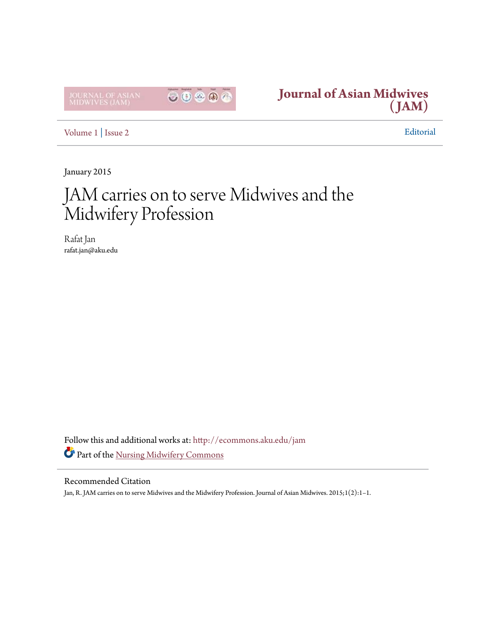



[Volume 1](http://ecommons.aku.edu/jam/vol1?utm_source=ecommons.aku.edu%2Fjam%2Fvol1%2Fiss2%2F1&utm_medium=PDF&utm_campaign=PDFCoverPages) | [Issue 2](http://ecommons.aku.edu/jam/vol1/iss2?utm_source=ecommons.aku.edu%2Fjam%2Fvol1%2Fiss2%2F1&utm_medium=PDF&utm_campaign=PDFCoverPages) Editorial

January 2015

## JAM carries on to serve Midwives and the Midwifery Profession

Rafat Jan rafat.jan@aku.edu

Follow this and additional works at: [http://ecommons.aku.edu/jam](http://ecommons.aku.edu/jam?utm_source=ecommons.aku.edu%2Fjam%2Fvol1%2Fiss2%2F1&utm_medium=PDF&utm_campaign=PDFCoverPages) Part of the [Nursing Midwifery Commons](http://network.bepress.com/hgg/discipline/722?utm_source=ecommons.aku.edu%2Fjam%2Fvol1%2Fiss2%2F1&utm_medium=PDF&utm_campaign=PDFCoverPages)

## Recommended Citation

Jan, R. JAM carries on to serve Midwives and the Midwifery Profession. Journal of Asian Midwives. 2015;1(2):1-1.